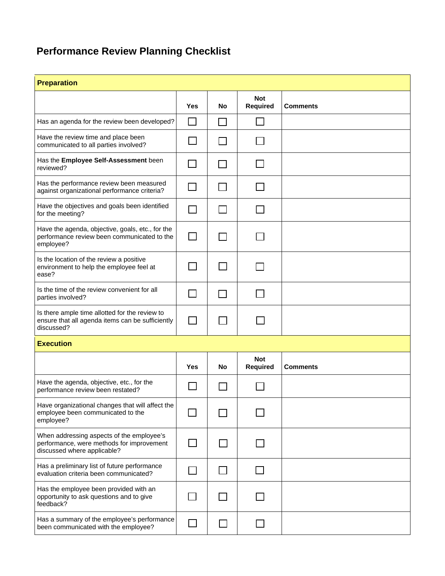## **Performance Review Planning Checklist**

| <b>Preparation</b>                                                                                                    |                |              |                               |                 |  |  |  |
|-----------------------------------------------------------------------------------------------------------------------|----------------|--------------|-------------------------------|-----------------|--|--|--|
|                                                                                                                       | <b>Yes</b>     | No           | <b>Not</b><br><b>Required</b> | <b>Comments</b> |  |  |  |
| Has an agenda for the review been developed?                                                                          | $\Box$         | $\mathsf{L}$ |                               |                 |  |  |  |
| Have the review time and place been<br>communicated to all parties involved?                                          |                |              |                               |                 |  |  |  |
| Has the Employee Self-Assessment been<br>reviewed?                                                                    |                | $\sim$       |                               |                 |  |  |  |
| Has the performance review been measured<br>against organizational performance criteria?                              |                |              |                               |                 |  |  |  |
| Have the objectives and goals been identified<br>for the meeting?                                                     |                |              |                               |                 |  |  |  |
| Have the agenda, objective, goals, etc., for the<br>performance review been communicated to the<br>employee?          | $\blacksquare$ |              |                               |                 |  |  |  |
| Is the location of the review a positive<br>environment to help the employee feel at<br>ease?                         |                |              |                               |                 |  |  |  |
| Is the time of the review convenient for all<br>parties involved?                                                     |                |              |                               |                 |  |  |  |
| Is there ample time allotted for the review to<br>ensure that all agenda items can be sufficiently<br>discussed?      |                |              |                               |                 |  |  |  |
| <b>Execution</b>                                                                                                      |                |              |                               |                 |  |  |  |
|                                                                                                                       | Yes            | No           | <b>Not</b><br><b>Required</b> | Comments        |  |  |  |
| Have the agenda, objective, etc., for the<br>performance review been restated?                                        |                |              |                               |                 |  |  |  |
| Have organizational changes that will affect the<br>employee been communicated to the<br>employee?                    |                |              |                               |                 |  |  |  |
| When addressing aspects of the employee's<br>performance, were methods for improvement<br>discussed where applicable? |                |              |                               |                 |  |  |  |
| Has a preliminary list of future performance<br>evaluation criteria been communicated?                                |                |              |                               |                 |  |  |  |
| Has the employee been provided with an<br>opportunity to ask questions and to give<br>feedback?                       |                |              |                               |                 |  |  |  |
| Has a summary of the employee's performance<br>been communicated with the employee?                                   |                |              |                               |                 |  |  |  |